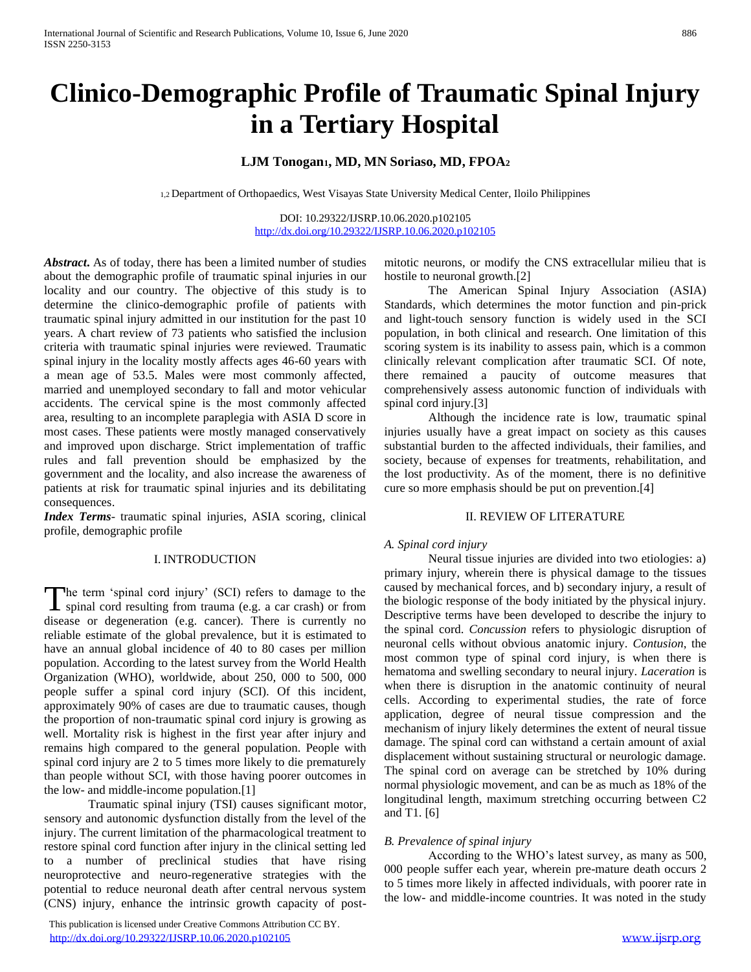# **Clinico-Demographic Profile of Traumatic Spinal Injury in a Tertiary Hospital**

### **LJM Tonogan1, MD, MN Soriaso, MD, FPOA<sup>2</sup>**

1,2 Department of Orthopaedics, West Visayas State University Medical Center, Iloilo Philippines

DOI: 10.29322/IJSRP.10.06.2020.p102105 <http://dx.doi.org/10.29322/IJSRP.10.06.2020.p102105>

*Abstract***.** As of today, there has been a limited number of studies about the demographic profile of traumatic spinal injuries in our locality and our country. The objective of this study is to determine the clinico-demographic profile of patients with traumatic spinal injury admitted in our institution for the past 10 years. A chart review of 73 patients who satisfied the inclusion criteria with traumatic spinal injuries were reviewed. Traumatic spinal injury in the locality mostly affects ages 46-60 years with a mean age of 53.5. Males were most commonly affected, married and unemployed secondary to fall and motor vehicular accidents. The cervical spine is the most commonly affected area, resulting to an incomplete paraplegia with ASIA D score in most cases. These patients were mostly managed conservatively and improved upon discharge. Strict implementation of traffic rules and fall prevention should be emphasized by the government and the locality, and also increase the awareness of patients at risk for traumatic spinal injuries and its debilitating consequences.

*Index Terms*- traumatic spinal injuries, ASIA scoring, clinical profile, demographic profile

#### I. INTRODUCTION

The term 'spinal cord injury' (SCI) refers to damage to the spinal cord resulting from trauma (e.g. a car crash) or from spinal cord resulting from trauma (e.g. a car crash) or from disease or degeneration (e.g. cancer). There is currently no reliable estimate of the global prevalence, but it is estimated to have an annual global incidence of 40 to 80 cases per million population. According to the latest survey from the World Health Organization (WHO), worldwide, about 250, 000 to 500, 000 people suffer a spinal cord injury (SCI). Of this incident, approximately 90% of cases are due to traumatic causes, though the proportion of non-traumatic spinal cord injury is growing as well. Mortality risk is highest in the first year after injury and remains high compared to the general population. People with spinal cord injury are 2 to 5 times more likely to die prematurely than people without SCI, with those having poorer outcomes in the low- and middle-income population.[1]

Traumatic spinal injury (TSI) causes significant motor, sensory and autonomic dysfunction distally from the level of the injury. The current limitation of the pharmacological treatment to restore spinal cord function after injury in the clinical setting led to a number of preclinical studies that have rising neuroprotective and neuro-regenerative strategies with the potential to reduce neuronal death after central nervous system (CNS) injury, enhance the intrinsic growth capacity of post-

 This publication is licensed under Creative Commons Attribution CC BY. <http://dx.doi.org/10.29322/IJSRP.10.06.2020.p102105> [www.ijsrp.org](http://ijsrp.org/)

mitotic neurons, or modify the CNS extracellular milieu that is hostile to neuronal growth.[2]

The American Spinal Injury Association (ASIA) Standards, which determines the motor function and pin-prick and light-touch sensory function is widely used in the SCI population, in both clinical and research. One limitation of this scoring system is its inability to assess pain, which is a common clinically relevant complication after traumatic SCI. Of note, there remained a paucity of outcome measures that comprehensively assess autonomic function of individuals with spinal cord injury.[3]

Although the incidence rate is low, traumatic spinal injuries usually have a great impact on society as this causes substantial burden to the affected individuals, their families, and society, because of expenses for treatments, rehabilitation, and the lost productivity. As of the moment, there is no definitive cure so more emphasis should be put on prevention.[4]

#### II. REVIEW OF LITERATURE

#### *A. Spinal cord injury*

Neural tissue injuries are divided into two etiologies: a) primary injury, wherein there is physical damage to the tissues caused by mechanical forces, and b) secondary injury, a result of the biologic response of the body initiated by the physical injury. Descriptive terms have been developed to describe the injury to the spinal cord. *Concussion* refers to physiologic disruption of neuronal cells without obvious anatomic injury. *Contusion*, the most common type of spinal cord injury, is when there is hematoma and swelling secondary to neural injury. *Laceration* is when there is disruption in the anatomic continuity of neural cells. According to experimental studies, the rate of force application, degree of neural tissue compression and the mechanism of injury likely determines the extent of neural tissue damage. The spinal cord can withstand a certain amount of axial displacement without sustaining structural or neurologic damage. The spinal cord on average can be stretched by 10% during normal physiologic movement, and can be as much as 18% of the longitudinal length, maximum stretching occurring between C2 and T1. [6]

#### *B. Prevalence of spinal injury*

According to the WHO's latest survey, as many as 500, 000 people suffer each year, wherein pre-mature death occurs 2 to 5 times more likely in affected individuals, with poorer rate in the low- and middle-income countries. It was noted in the study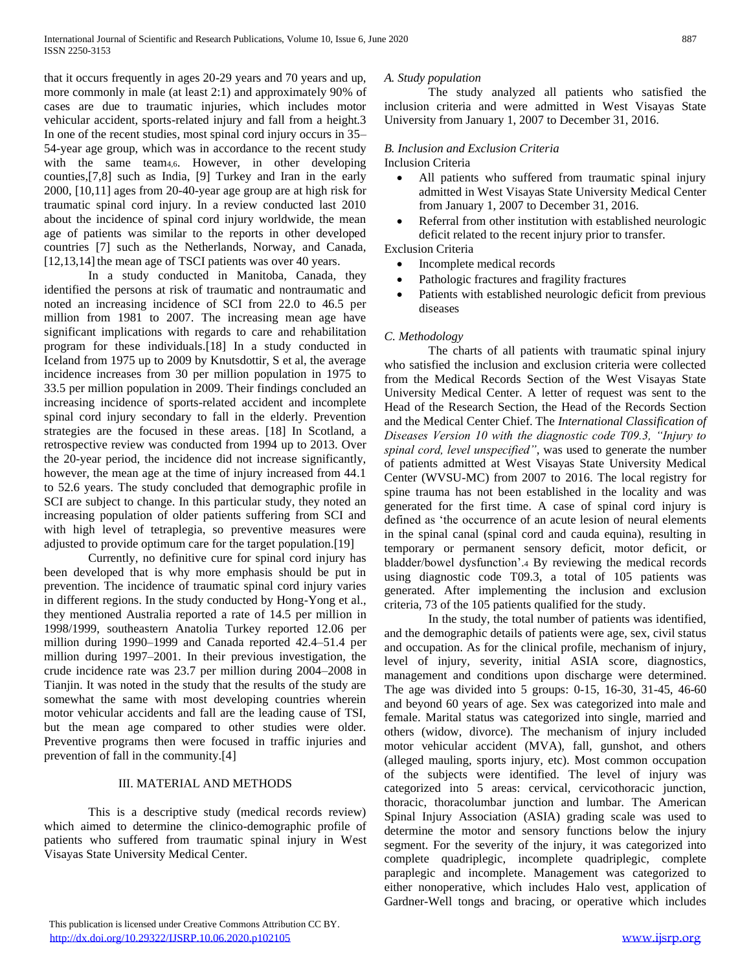that it occurs frequently in ages 20-29 years and 70 years and up, more commonly in male (at least 2:1) and approximately 90% of cases are due to traumatic injuries, which includes motor vehicular accident, sports-related injury and fall from a height.3 In one of the recent studies, most spinal cord injury occurs in 35– 54-year age group, which was in accordance to the recent study with the same team4,6. However, in other developing counties,[7,8] such as India, [9] Turkey and Iran in the early 2000, [10,11] ages from 20-40-year age group are at high risk for traumatic spinal cord injury. In a review conducted last 2010 about the incidence of spinal cord injury worldwide, the mean age of patients was similar to the reports in other developed countries [7] such as the Netherlands, Norway, and Canada, [12,13,14] the mean age of TSCI patients was over 40 years.

In a study conducted in Manitoba, Canada, they identified the persons at risk of traumatic and nontraumatic and noted an increasing incidence of SCI from 22.0 to 46.5 per million from 1981 to 2007. The increasing mean age have significant implications with regards to care and rehabilitation program for these individuals.[18] In a study conducted in Iceland from 1975 up to 2009 by Knutsdottir, S et al, the average incidence increases from 30 per million population in 1975 to 33.5 per million population in 2009. Their findings concluded an increasing incidence of sports-related accident and incomplete spinal cord injury secondary to fall in the elderly. Prevention strategies are the focused in these areas. [18] In Scotland, a retrospective review was conducted from 1994 up to 2013. Over the 20-year period, the incidence did not increase significantly, however, the mean age at the time of injury increased from 44.1 to 52.6 years. The study concluded that demographic profile in SCI are subject to change. In this particular study, they noted an increasing population of older patients suffering from SCI and with high level of tetraplegia, so preventive measures were adjusted to provide optimum care for the target population.[19]

Currently, no definitive cure for spinal cord injury has been developed that is why more emphasis should be put in prevention. The incidence of traumatic spinal cord injury varies in different regions. In the study conducted by Hong-Yong et al., they mentioned Australia reported a rate of 14.5 per million in 1998/1999, southeastern Anatolia Turkey reported 12.06 per million during 1990–1999 and Canada reported 42.4–51.4 per million during 1997–2001. In their previous investigation, the crude incidence rate was 23.7 per million during 2004–2008 in Tianjin. It was noted in the study that the results of the study are somewhat the same with most developing countries wherein motor vehicular accidents and fall are the leading cause of TSI, but the mean age compared to other studies were older. Preventive programs then were focused in traffic injuries and prevention of fall in the community.[4]

#### III. MATERIAL AND METHODS

This is a descriptive study (medical records review) which aimed to determine the clinico-demographic profile of patients who suffered from traumatic spinal injury in West Visayas State University Medical Center.

#### *A. Study population*

The study analyzed all patients who satisfied the inclusion criteria and were admitted in West Visayas State University from January 1, 2007 to December 31, 2016.

#### *B. Inclusion and Exclusion Criteria* Inclusion Criteria

- All patients who suffered from traumatic spinal injury admitted in West Visayas State University Medical Center from January 1, 2007 to December 31, 2016.
- Referral from other institution with established neurologic deficit related to the recent injury prior to transfer.

Exclusion Criteria

- Incomplete medical records
- Pathologic fractures and fragility fractures
- Patients with established neurologic deficit from previous diseases

#### *C. Methodology*

The charts of all patients with traumatic spinal injury who satisfied the inclusion and exclusion criteria were collected from the Medical Records Section of the West Visayas State University Medical Center. A letter of request was sent to the Head of the Research Section, the Head of the Records Section and the Medical Center Chief. The *International Classification of Diseases Version 10 with the diagnostic code T09.3, "Injury to spinal cord, level unspecified"*, was used to generate the number of patients admitted at West Visayas State University Medical Center (WVSU-MC) from 2007 to 2016. The local registry for spine trauma has not been established in the locality and was generated for the first time. A case of spinal cord injury is defined as 'the occurrence of an acute lesion of neural elements in the spinal canal (spinal cord and cauda equina), resulting in temporary or permanent sensory deficit, motor deficit, or bladder/bowel dysfunction'.<sup>4</sup> By reviewing the medical records using diagnostic code T09.3, a total of 105 patients was generated. After implementing the inclusion and exclusion criteria, 73 of the 105 patients qualified for the study.

In the study, the total number of patients was identified, and the demographic details of patients were age, sex, civil status and occupation. As for the clinical profile, mechanism of injury, level of injury, severity, initial ASIA score, diagnostics, management and conditions upon discharge were determined. The age was divided into 5 groups: 0-15, 16-30, 31-45, 46-60 and beyond 60 years of age. Sex was categorized into male and female. Marital status was categorized into single, married and others (widow, divorce). The mechanism of injury included motor vehicular accident (MVA), fall, gunshot, and others (alleged mauling, sports injury, etc). Most common occupation of the subjects were identified. The level of injury was categorized into 5 areas: cervical, cervicothoracic junction, thoracic, thoracolumbar junction and lumbar. The American Spinal Injury Association (ASIA) grading scale was used to determine the motor and sensory functions below the injury segment. For the severity of the injury, it was categorized into complete quadriplegic, incomplete quadriplegic, complete paraplegic and incomplete. Management was categorized to either nonoperative, which includes Halo vest, application of Gardner-Well tongs and bracing, or operative which includes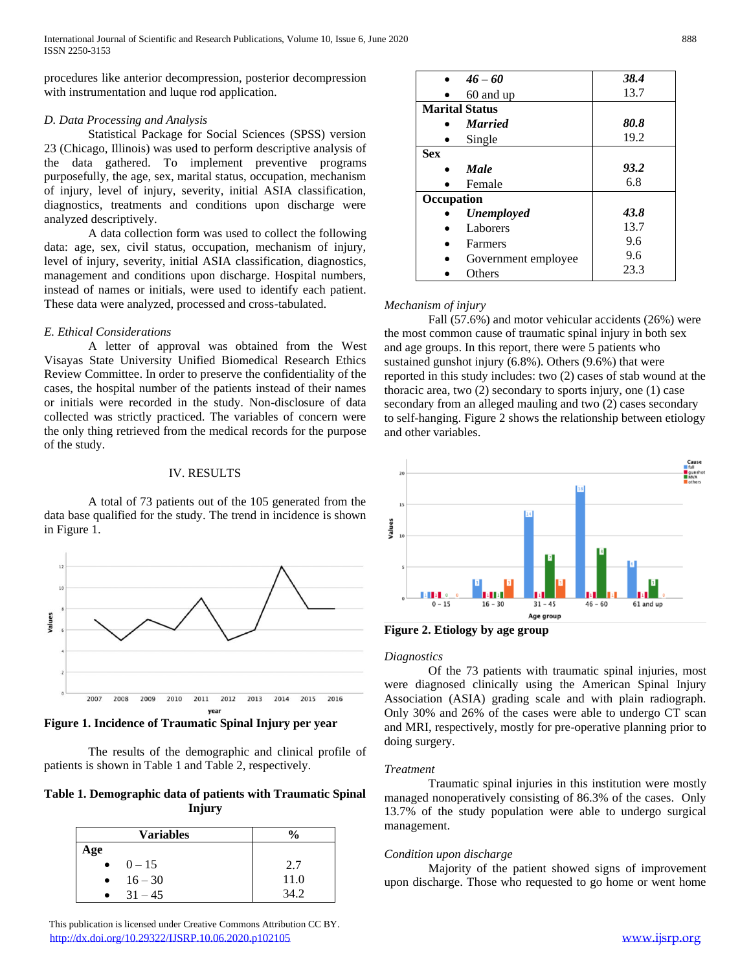procedures like anterior decompression, posterior decompression with instrumentation and luque rod application.

#### *D. Data Processing and Analysis*

Statistical Package for Social Sciences (SPSS) version 23 (Chicago, Illinois) was used to perform descriptive analysis of the data gathered. To implement preventive programs purposefully, the age, sex, marital status, occupation, mechanism of injury, level of injury, severity, initial ASIA classification, diagnostics, treatments and conditions upon discharge were analyzed descriptively.

A data collection form was used to collect the following data: age, sex, civil status, occupation, mechanism of injury, level of injury, severity, initial ASIA classification, diagnostics, management and conditions upon discharge. Hospital numbers, instead of names or initials, were used to identify each patient. These data were analyzed, processed and cross-tabulated.

#### *E. Ethical Considerations*

A letter of approval was obtained from the West Visayas State University Unified Biomedical Research Ethics Review Committee. In order to preserve the confidentiality of the cases, the hospital number of the patients instead of their names or initials were recorded in the study. Non-disclosure of data collected was strictly practiced. The variables of concern were the only thing retrieved from the medical records for the purpose of the study.

#### IV. RESULTS

A total of 73 patients out of the 105 generated from the data base qualified for the study. The trend in incidence is shown in Figure 1.



**Figure 1. Incidence of Traumatic Spinal Injury per year**

The results of the demographic and clinical profile of patients is shown in Table 1 and Table 2, respectively.

#### **Table 1. Demographic data of patients with Traumatic Spinal Injury**

|           | <b>Variables</b> | $\frac{0}{0}$ |
|-----------|------------------|---------------|
| Age       |                  |               |
| $\bullet$ | $0 - 15$         | 2.7           |
| $\bullet$ | $16 - 30$        | 11.0          |
|           | $31 - 45$        | 34.2          |

|            | $46 - 60$             | 38.4 |  |
|------------|-----------------------|------|--|
|            | 60 and up             | 13.7 |  |
|            | <b>Marital Status</b> |      |  |
|            | <b>Married</b>        | 80.8 |  |
|            | Single                | 19.2 |  |
| <b>Sex</b> |                       |      |  |
|            | <b>Male</b>           | 93.2 |  |
|            | Female                | 6.8  |  |
| Occupation |                       |      |  |
|            | Unemployed            | 43.8 |  |
|            | Laborers              | 13.7 |  |
|            | Farmers               | 9.6  |  |
|            | Government employee   | 9.6  |  |
|            | Others                | 23.3 |  |

#### *Mechanism of injury*

Fall (57.6%) and motor vehicular accidents (26%) were the most common cause of traumatic spinal injury in both sex and age groups. In this report, there were 5 patients who sustained gunshot injury (6.8%). Others (9.6%) that were reported in this study includes: two (2) cases of stab wound at the thoracic area, two (2) secondary to sports injury, one (1) case secondary from an alleged mauling and two (2) cases secondary to self-hanging. Figure 2 shows the relationship between etiology and other variables.



**Figure 2. Etiology by age group**

#### *Diagnostics*

Of the 73 patients with traumatic spinal injuries, most were diagnosed clinically using the American Spinal Injury Association (ASIA) grading scale and with plain radiograph. Only 30% and 26% of the cases were able to undergo CT scan and MRI, respectively, mostly for pre-operative planning prior to doing surgery.

#### *Treatment*

Traumatic spinal injuries in this institution were mostly managed nonoperatively consisting of 86.3% of the cases. Only 13.7% of the study population were able to undergo surgical management.

#### *Condition upon discharge*

Majority of the patient showed signs of improvement upon discharge. Those who requested to go home or went home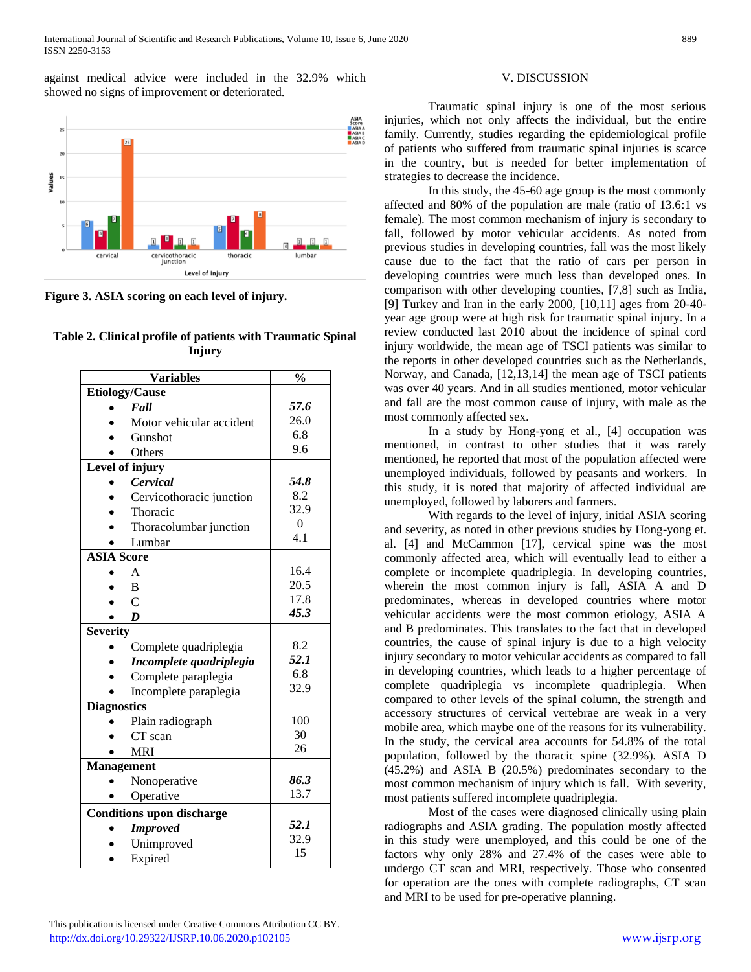against medical advice were included in the 32.9% which showed no signs of improvement or deteriorated.



**Figure 3. ASIA scoring on each level of injury.**

|  |        | Table 2. Clinical profile of patients with Traumatic Spinal |
|--|--------|-------------------------------------------------------------|
|  | Injury |                                                             |

|                   | $\frac{0}{0}$                             |          |  |  |  |
|-------------------|-------------------------------------------|----------|--|--|--|
|                   | <b>Variables</b><br><b>Etiology/Cause</b> |          |  |  |  |
|                   | Fall                                      | 57.6     |  |  |  |
|                   | Motor vehicular accident                  | 26.0     |  |  |  |
|                   | Gunshot                                   | 6.8      |  |  |  |
|                   | Others                                    | 9.6      |  |  |  |
| Level of injury   |                                           |          |  |  |  |
|                   | Cervical                                  | 54.8     |  |  |  |
|                   | Cervicothoracic junction                  | 8.2      |  |  |  |
|                   | Thoracic                                  | 32.9     |  |  |  |
|                   | Thoracolumbar junction                    | $\Omega$ |  |  |  |
|                   | Lumbar                                    | 4.1      |  |  |  |
|                   | <b>ASIA</b> Score                         |          |  |  |  |
|                   | $\mathsf{A}$                              | 16.4     |  |  |  |
|                   | B                                         | 20.5     |  |  |  |
|                   | $\mathsf{C}$                              | 17.8     |  |  |  |
|                   | $\boldsymbol{D}$                          | 45.3     |  |  |  |
| <b>Severity</b>   |                                           |          |  |  |  |
|                   | Complete quadriplegia                     | 8.2      |  |  |  |
|                   | Incomplete quadriplegia                   | 52.1     |  |  |  |
|                   | Complete paraplegia                       | 6.8      |  |  |  |
|                   | Incomplete paraplegia                     | 32.9     |  |  |  |
|                   | <b>Diagnostics</b>                        |          |  |  |  |
|                   | Plain radiograph                          | 100      |  |  |  |
|                   | CT scan                                   | 30       |  |  |  |
|                   | <b>MRI</b>                                | 26       |  |  |  |
| <b>Management</b> |                                           |          |  |  |  |
|                   | Nonoperative                              | 86.3     |  |  |  |
|                   | Operative                                 | 13.7     |  |  |  |
|                   | <b>Conditions upon discharge</b>          |          |  |  |  |
|                   | <b>Improved</b>                           | 52.1     |  |  |  |
|                   | Unimproved                                | 32.9     |  |  |  |
|                   | Expired                                   | 15       |  |  |  |
|                   |                                           |          |  |  |  |

## V. DISCUSSION

Traumatic spinal injury is one of the most serious injuries, which not only affects the individual, but the entire family. Currently, studies regarding the epidemiological profile of patients who suffered from traumatic spinal injuries is scarce in the country, but is needed for better implementation of strategies to decrease the incidence.

In this study, the 45-60 age group is the most commonly affected and 80% of the population are male (ratio of 13.6:1 vs female). The most common mechanism of injury is secondary to fall, followed by motor vehicular accidents. As noted from previous studies in developing countries, fall was the most likely cause due to the fact that the ratio of cars per person in developing countries were much less than developed ones. In comparison with other developing counties, [7,8] such as India, [9] Turkey and Iran in the early 2000, [10,11] ages from 20-40 year age group were at high risk for traumatic spinal injury. In a review conducted last 2010 about the incidence of spinal cord injury worldwide, the mean age of TSCI patients was similar to the reports in other developed countries such as the Netherlands, Norway, and Canada, [12,13,14] the mean age of TSCI patients was over 40 years. And in all studies mentioned, motor vehicular and fall are the most common cause of injury, with male as the most commonly affected sex.

In a study by Hong-yong et al., [4] occupation was mentioned, in contrast to other studies that it was rarely mentioned, he reported that most of the population affected were unemployed individuals, followed by peasants and workers. In this study, it is noted that majority of affected individual are unemployed, followed by laborers and farmers.

With regards to the level of injury, initial ASIA scoring and severity, as noted in other previous studies by Hong-yong et. al. [4] and McCammon [17], cervical spine was the most commonly affected area, which will eventually lead to either a complete or incomplete quadriplegia. In developing countries, wherein the most common injury is fall, ASIA A and D predominates, whereas in developed countries where motor vehicular accidents were the most common etiology, ASIA A and B predominates. This translates to the fact that in developed countries, the cause of spinal injury is due to a high velocity injury secondary to motor vehicular accidents as compared to fall in developing countries, which leads to a higher percentage of complete quadriplegia vs incomplete quadriplegia. When compared to other levels of the spinal column, the strength and accessory structures of cervical vertebrae are weak in a very mobile area, which maybe one of the reasons for its vulnerability. In the study, the cervical area accounts for 54.8% of the total population, followed by the thoracic spine (32.9%). ASIA D (45.2%) and ASIA B (20.5%) predominates secondary to the most common mechanism of injury which is fall. With severity, most patients suffered incomplete quadriplegia.

Most of the cases were diagnosed clinically using plain radiographs and ASIA grading. The population mostly affected in this study were unemployed, and this could be one of the factors why only 28% and 27.4% of the cases were able to undergo CT scan and MRI, respectively. Those who consented for operation are the ones with complete radiographs, CT scan and MRI to be used for pre-operative planning.